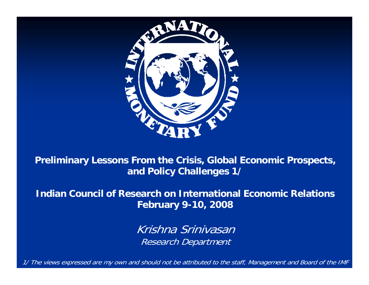

**Preliminary Lessons From the Crisis, Global Economic Prospects, and Policy Challenges 1/**

**Indian Council of Research on International Economic Relations February 9-10, 2008**

> Krishna SrinivasanResearch Department

1/ The views expressed are my own and should not be attributed to the staff, Management and Board of the IMF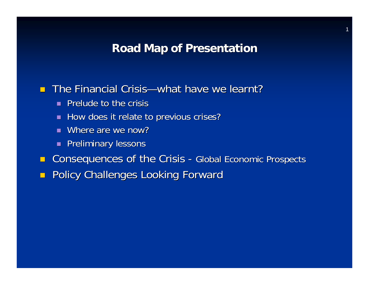### **Road Map of Presentation Road Map of Presentation**

### **The Financial Crisis—what have we learnt?**

- **Prelude to the crisis Prelude to the crisis**
- **How does it relate to previous crises?**
- $\blacksquare$  Where are we now?
- **Preliminary lessons**
- $\blacksquare$  Consequences of the Crisis - Global Economic Prospects
- $\mathcal{L}$ Policy Challenges Looking Forward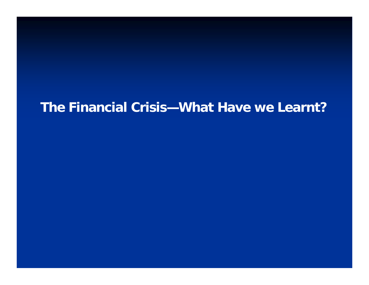# **The Financial Crisis—What Have we Learnt?**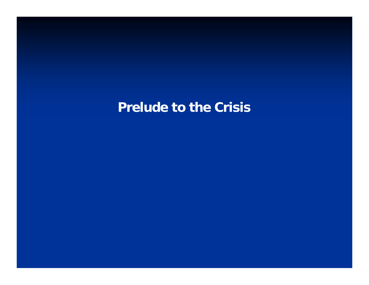# **Prelude to the Crisis**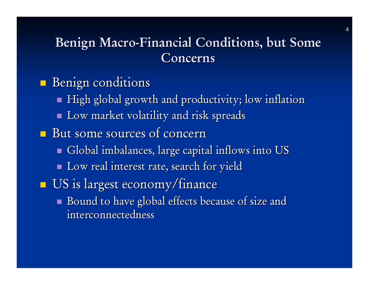# Benign Macro-Financial Conditions, but Some Concerns

- p. **Benign conditions** 
	- $\blacksquare$  High global growth and productivity; low inflation
	- $\blacksquare$  Low market volatility and risk spreads
- But some sources of concern
	- $\blacksquare$  Global imbalances, large capital inflows into US
	- $\blacksquare$  Low real interest rate, search for yield
- T.  $\blacksquare$  US is largest economy/finance
	- $\blacksquare$  Bound to have global effects because of size and interconnectedness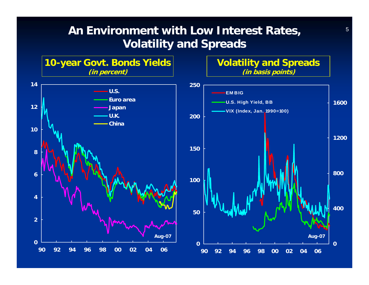### **An Environment with Low Interest Rates, Volatility and Spreads**

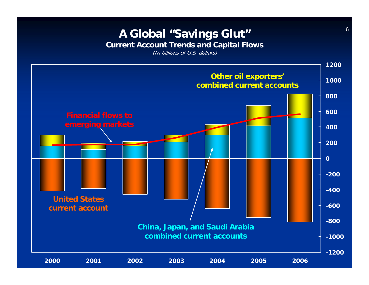# **A Global "Savings Glut"**

**Current Account Trends and Capital Flows**

(In billions of U.S. dollars)

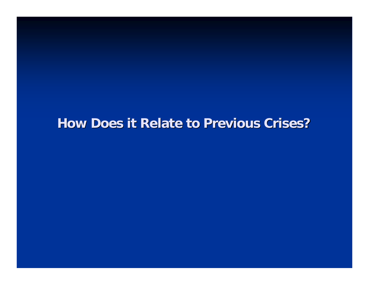### **How Does it Relate to Previous Crises? How Does it Relate to Previous Crises?**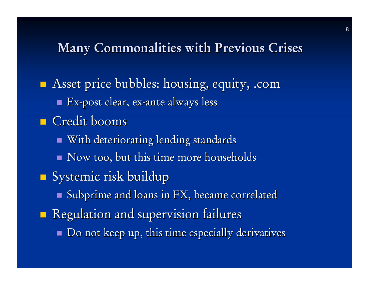## Many Commonalities with Previous Crises

**Asset price bubbles: housing, equity, .com**  $\blacksquare$  Ex-post clear, ex-ante always less **Credit booms**  $\blacksquare$  With deteriorating lending standards  $\blacksquare$  Now too, but this time more households T. **Systemic risk buildup**  $\blacksquare$  Subprime and loans in FX, became correlated p. **Regulation and supervision failures**  $\blacksquare$  Do not keep up, this time especially derivatives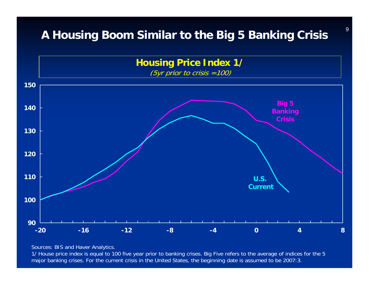### **A Housing Boom Similar to the Big 5 Banking Crisis**



Sources: BIS and Haver Analytics.

1/ House price index is equal to 100 five year prior to banking crises. Big Five refers to the average of indices for the 5 major banking crises. For the current crisis in the United States, the beginning date is assumed to be 2007:3.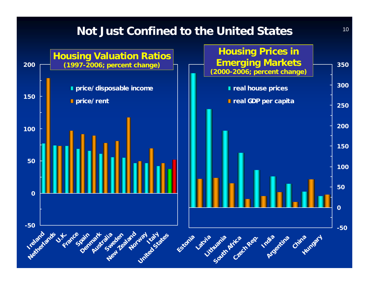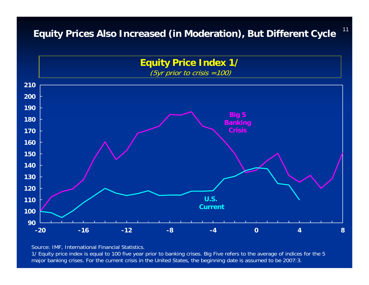**Equity Prices Also Increased (in Moderation), But Different Cycle**

11



Source: IMF, International Financial Statistics.

1/ Equity price index is equal to 100 five year prior to banking crises. Big Five refers to the average of indices for the 5 major banking crises. For the current crisis in the United States, the beginning date is assumed to be 2007:3.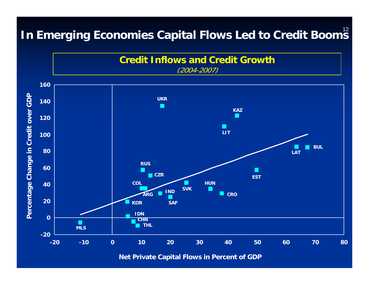# In Emerging Economies Capital Flows Led to Credit Boom<sup>12</sup>

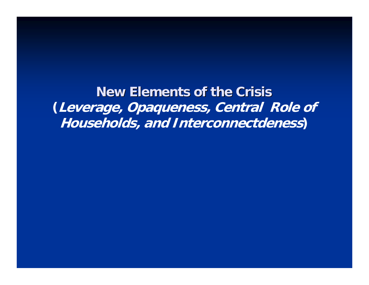**New Elements of the Crisis New Elements of the Crisis(Leverage, Opaqueness, Central Role of Households, and Interconnectdeness)**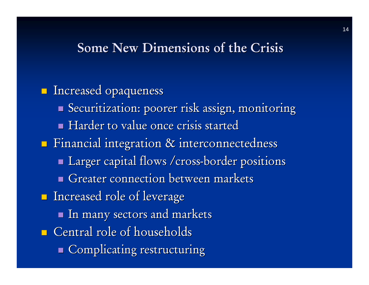## Some New Dimensions of the Crisis

**Increased opaqueness** Securitization: poorer risk assign, monitoring Harder to value once crisis started  $\blacksquare$  Financial integration  $\&$  interconnectedness **Larger capital flows /cross-border positions** Greater connection between markets  $\blacksquare$  Increased role of leverage a.  $\blacksquare$  In many sectors and markets  $\blacksquare$  Central role of households Gomplicating restructuring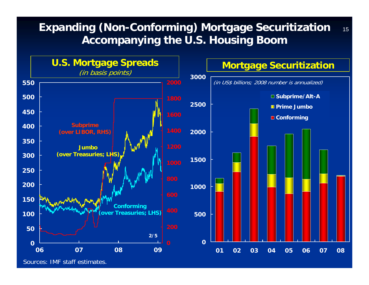#### 15**Expanding (Non-Conforming) Mortgage Securitization Accompanying the U.S. Housing Boom**

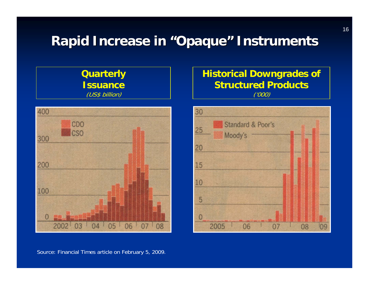# **Rapid Increase in "Opaque" Instruments**



**Quarterly** 

Source: Financial Times article on February 5, 2009.

### **Historical Downgrades of Structured Products** ('000)

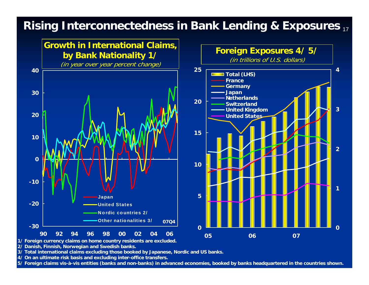### 17**Rising Interconnectedness in Bank Lending & Exposures**





**1/ Foreign currency claims on home country residents are excluded.**

**2/ Danish, Finnish, Norwegian and Swedish banks.**

**3/ Total international claims excluding those booked by Japanese, Nordic and US banks.**

**4/ On an ultimate risk basis and excluding inter-office transfers.**

**5/ Foreign claims vis-à-vis entities (banks and non-banks) in advanced economies, booked by banks headquartered in the countries shown.**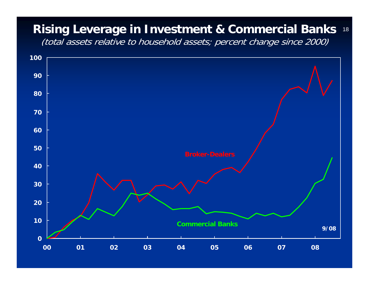#### **Rising Leverage in Investment & Commercial Banks**

(total assets relative to household assets; percent change since 2000)

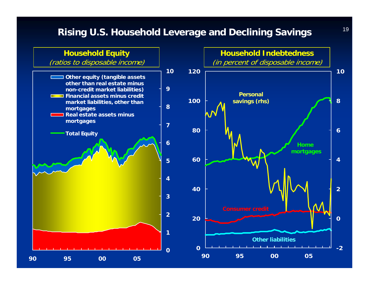### **Rising U.S. Household Leverage and Declining Savings**

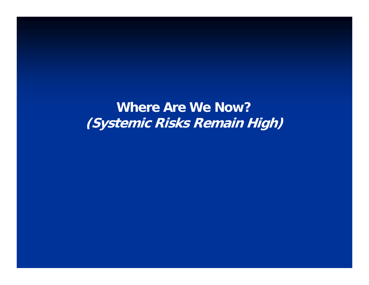**Where Are We Now? (Systemic Risks Remain High)**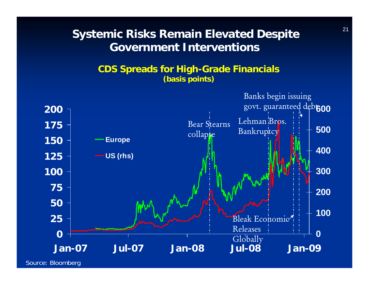### **Systemic Risks Remain Elevated Despite Government Interventions**

### **CDS Spreads for High-Grade Financials (basis points)**

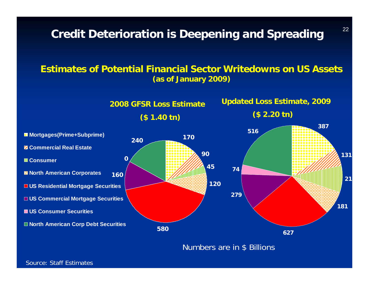**Credit Deterioration is Deepening and Spreading**

### **Estimates of Potential Financial Sector Writedowns on US Assets (as of January 2009)**



Numbers are in \$ Billions

Source: Staff Estimates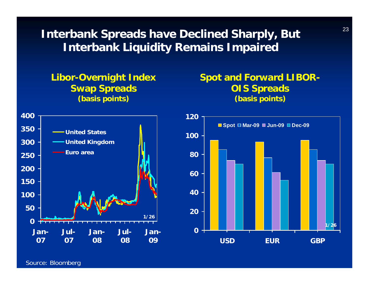**Interbank Spreads have Declined Sharply, But Interbank Liquidity Remains Impaired**

**Libor-Overnight Index Swap Spreads (basis points)**

### **Spot and Forward LIBOR-OIS Spreads (basis points)**





Source: Bloomberg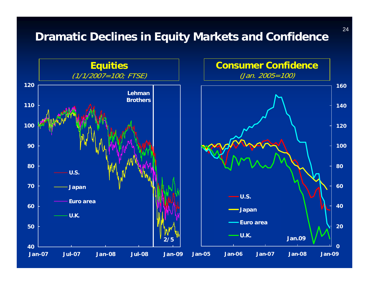### **Dramatic Declines in Equity Markets and Confidence**



24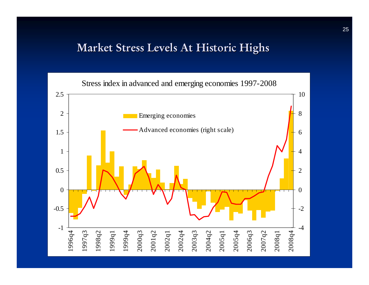### Market Stress Levels At Historic Highs

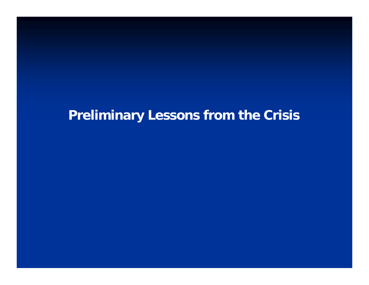# **Preliminary Lessons from the Crisis**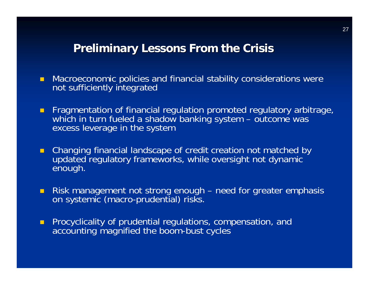### **Preliminary Lessons From the Crisis**

- $\blacksquare$  Macroeconomic policies and financial stability considerations were not sufficiently integrated
- $\blacksquare$  Fragmentation of financial regulation promoted regulatory arbitrage, which in turn fueled a shadow banking system – outcome was excess leverage in the system
- п Changing financial landscape of credit creation not matched by updated regulatory frameworks, while oversight not dynamic enough.
- $\blacksquare$ Risk management not strong enough – need for greater emphasis on systemic (macro-prudential) risks.
- $\blacksquare$  Procyclicality of prudential regulations, compensation, and accounting magnified the boom-bust cycles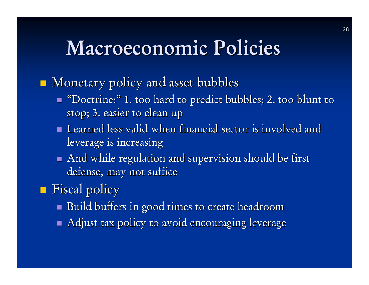# Macroeconomic Policies

p.  $\blacksquare$  Monetary policy and asset bubbles

- $\blacksquare$  "Doctrine:" 1. too hard to predict bubbles; 2. too blunt to  $\blacksquare$ stop; 3. easier to clean up
- $\blacksquare$  Learned less valid when financial sector is involved and leverage is increasing
- $\blacksquare$  And while regulation and supervision should be first defense, may not suffice
- p.  $\blacksquare$  Fiscal policy
	- $\blacksquare$  Build buffers in good times to create headroom
	- $\blacksquare$  Adjust tax policy to avoid encouraging leverage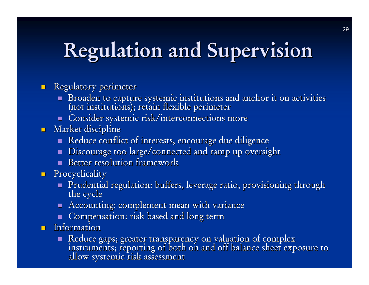# Regulation and Supervision

#### $\blacksquare$ Regulatory perimeter

- Broaden to capture systemic institutions and anchor it on activities<br>(not institutions); retain flexible perimeter
- **Consider systemic risk/interconnections more**
- $\blacksquare$  Market discipline
	- Reduce conflict of interests, encourage due diligence
	- $\blacksquare$  Discourage too large/connected and ramp up oversight
	- Better resolution framework
- **Procyclicality** 
	- Prudential regulation: buffers, leverage ratio, provisioning through the cycle
	- $\blacksquare$  Accounting: complement mean with variance
	- $\blacksquare$  Compensation: risk based and long-term
- $\blacksquare$  Information
	- Reduce gaps; greater transparency on valuation of complex<br>instruments; reporting of both on and off balance sheet exposure to<br>allow systemic risk assessment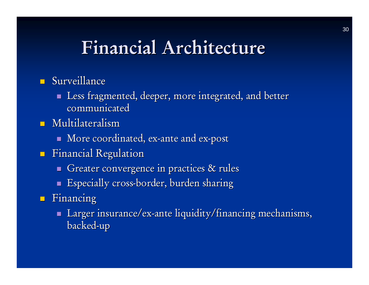# Financial Architecture

- $\blacksquare$  Surveillance
	- $\blacksquare$  Less fragmented, deeper, more integrated, and better communicated
- $\blacksquare$  Multilateralism
	- $\blacksquare$  More coordinated, ex-ante and ex-post
- $\blacksquare$  Financial Regulation
	- Greater convergence in practices  $\&$  rules
	- $\blacksquare$  Especially cross-border, burden sharing
- $\blacksquare$  Financing
	- $\blacksquare$  Larger insurance/ex-ante liquidity/financing mechanisms, backed -up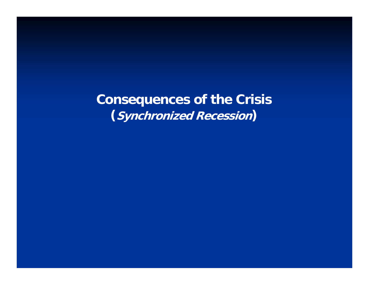**Consequences of the Crisis (Synchronized Recession)**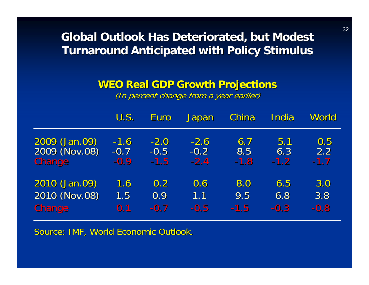### **Global Outlook Has Deteriorated, but Modest Turnaround Anticipated with Policy Stimulus Turnaround Anticipated with Policy Stimulus**

### **WEO Real GDP Growth Projections WEO Real GDP Growth Projections**

(In percent change from a year earlier)

|               | U.S.   | <b>Euro</b> | Japan  | China  | India  | World  |
|---------------|--------|-------------|--------|--------|--------|--------|
| 2009 (Jan.09) | $-1.6$ | $-2.0$      | $-2.6$ | 6.7    | 5.1    | 0.5    |
| 2009 (Nov.08) | $-0.7$ | $-0.5$      | $-0.2$ | 8.5    | 6.3    | 2.2    |
| <b>Change</b> | $-0.9$ | $-1.5$      | $-2.4$ | $-1.8$ | $-1.2$ | $-1.7$ |
| 2010 (Jan.09) | 1.6    | 0.2         | 0.6    | 8.0    | 6.5    | 3.0    |
| 2010 (Nov.08) | 1.5    | 0.9         | 1.1    | 9.5    | 6.8    | 3.8    |
| <b>Change</b> | 0.1    | $-0.7$      | $-0.5$ | $-1.5$ | $-0.3$ | $-0.8$ |

Source: IMF, World Economic Outlook.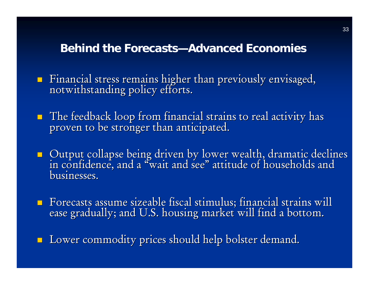### **Behind the Forecasts—Advanced Economies**

Financial stress remains higher than previously envisaged, notwithstanding policy efforts.

- The feedback loop from financial strains to real activity has proven to be stronger than anticipated.
- Output collapse being driven by lower wealth, dramatic declines<br>in confidence, and a "wait and see" attitude of households and " attitude of households and businesses.
- Forecasts assume sizeable fiscal stimulus; financial strains will ease gradually; and U.S. housing market will find a bottom.
- $\Box$  Lower commodity prices should help bolster demand.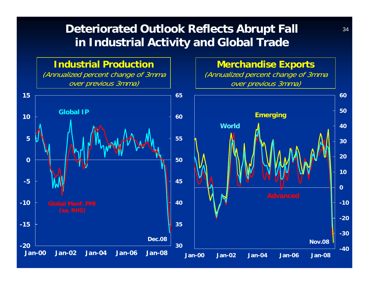### **Deteriorated Outlook Reflects Abrupt Fall** <sup>34</sup> **in Industrial Activity and Global Trade**

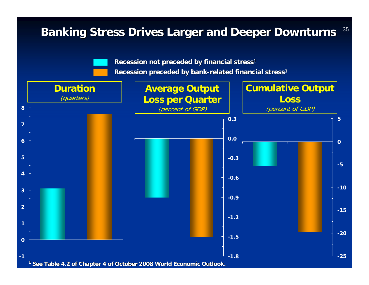#### **Banking Stress Drives Larger and Deeper Downturns**  $^{35}$ **-25-20-15-10-505Cumulative Output Loss**  (percent of GDP) **-1.8-1.5-1.2 -0.9-0.6 -0.3 0.00.3Average Output Loss per Quarter**  (percent of GDP) **-1012345678 Duration**  (quarters) **Recession not preceded by financial stress Recession not preceded by financial stress1 Recession preceded by bank-related financial stress<sup>1</sup>** <sup>1</sup> See Table 4.2 of Chapter 4 of October 2008 World Economic Outlook.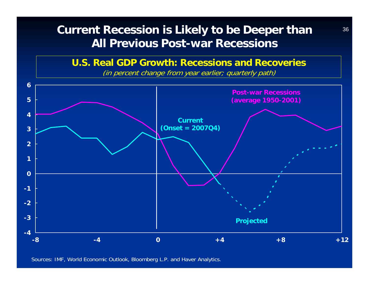### **Current Recession is Likely to be Deeper than** <sup>36</sup> **All Previous Post-war Recessions**

### **U.S. Real GDP Growth: Recessions and Recoveries**

(in percent change from year earlier; quarterly path)



Sources: IMF, World Economic Outlook, Bloomberg L.P. and Haver Analytics.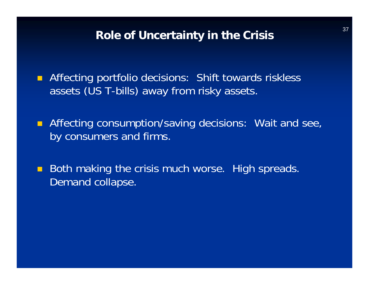### **Role of Uncertainty in the Crisis**

**Affecting portfolio decisions: Shift towards riskless** assets (US T-bills) away from risky assets.

**Affecting consumption/saving decisions: Wait and see,** by consumers and firms.

 $\blacksquare$  Both making the crisis much worse. High spreads. Demand collapse.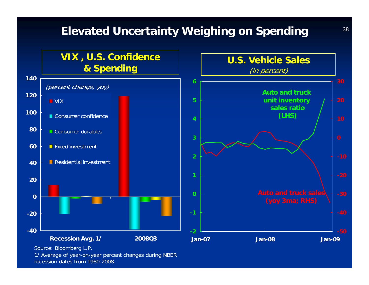### **Elevated Uncertainty Weighing on Spending**



1/ Average of year-on-year percent changes during NBER recession dates from 1980-2008.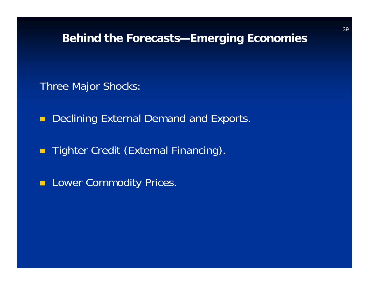### **Behind the Forecasts—Emerging Economies**

Three Major Shocks:

 $\blacksquare$ Declining External Demand and Exports.

**Tighter Credit (External Financing).** 

**Lower Commodity Prices.**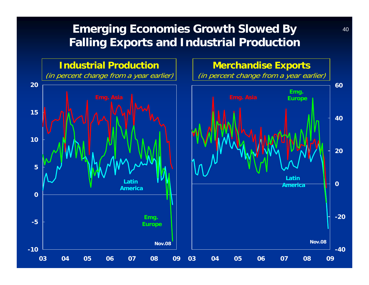### **Emerging Economies Growth Slowed By Falling Exports and Industrial Production**

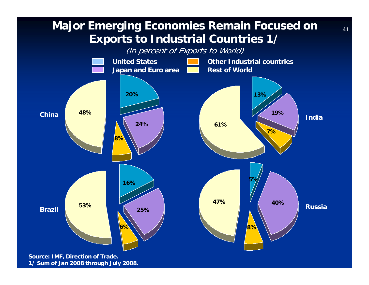### **Major Emerging Economies Remain Focused on Exports to Industrial Countries 1/**

(in percent of Exports to World)

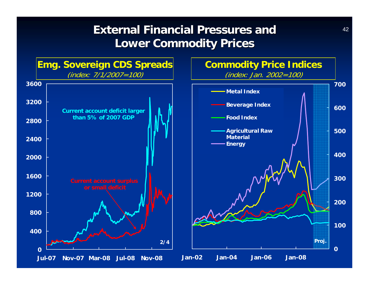### **External Financial Pressures and Lower Commodity Prices Lower Commodity Prices**

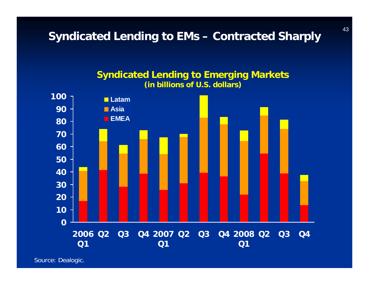**Syndicated Lending to EMs – Contracted Sharply**



**Syndicated Lending to Emerging Markets (in billions of U.S. dollars)**

Source: Dealogic.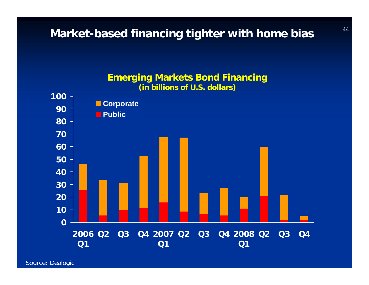### **Market-based financing tighter with home bias**



Source: Dealogic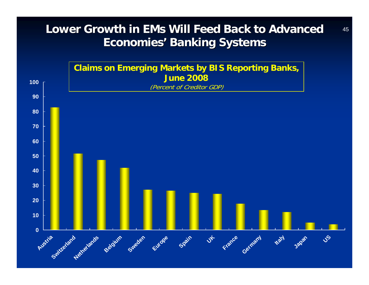### **Lower Growth in EMs Will Feed Back to Advanced** 45 **Economies Economies' Banking Systems Banking Systems**

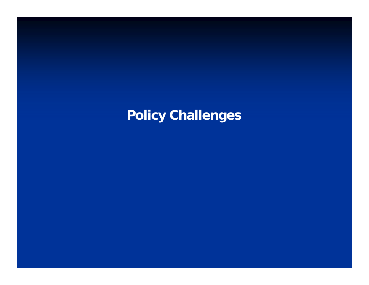# **Policy Challenges**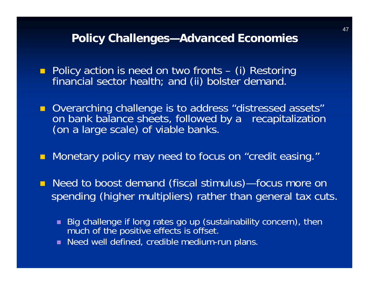### **Policy Challenges—Advanced Economies**

- **Policy action is need on two fronts (i) Restoring**<br>financial sector health; and (ii) bolster demand.
- **D** Overarching challenge is to address "distressed assets" on bank balance sheets, followed by a recapitalization (on a large scale) of viable banks.
- **Monetary policy may need to focus on "credit easing."**
- Need to boost demand (fiscal stimulus)—focus more on spending (higher multipliers) rather than general tax cuts.
	- Big challenge if long rates go up (sustainability concern), then much of the positive effects is offset.
	- Need well defined, credible medium-run plans.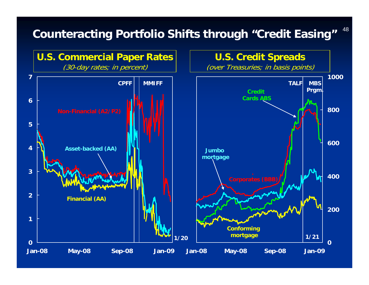# **Counteracting Portfolio Shifts through "Credit Easing"**



48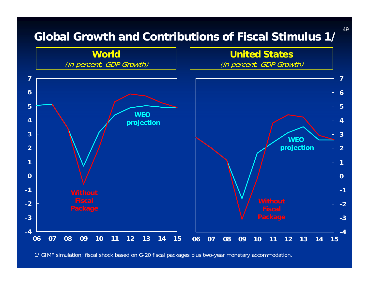

1/ GIMF simulation; fiscal shock based on G-20 fiscal packages plus two-year monetary accommodation.

49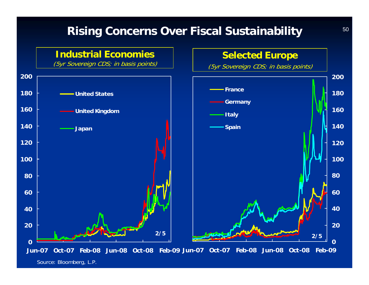### **Rising Concerns Over Fiscal Sustainability**

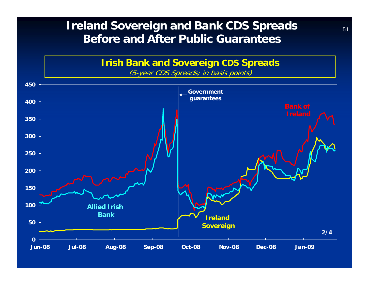### **Ireland Sovereign and Bank CDS Spreads**  $51$ **Before and After Public Guarantees**

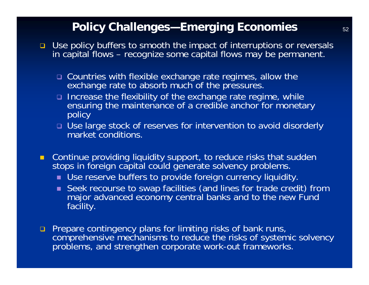### **Policy Challenges—Emerging Economies**  $52$

- □ Use policy buffers to smooth the impact of interruptions or reversals in capital flows – recognize some capital flows may be permanent.
	- □ Countries with flexible exchange rate regimes, allow the exchange rate to absorb much of the pressures.
	- Increase the flexibility of the exchange rate regime, while ensuring the maintenance of a credible anchor for monetary policy
	- Use large stock of reserves for intervention to avoid disorderly market conditions.
- **E** Continue providing liquidity support, to reduce risks that sudden stops in foreign capital could generate solvency problems.
	- Use reserve buffers to provide foreign currency liquidity.
	- Seek recourse to swap facilities (and lines for trade credit) from major advanced economy central banks and to the new Fund facility.
- **n** Prepare contingency plans for limiting risks of bank runs, comprehensive mechanisms to reduce the risks of systemic solvency problems, and strengthen corporate work-out frameworks.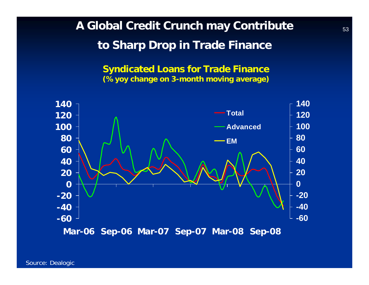**A Global Credit Crunch may Contribute to Sharp Drop in Trade Finance** 

> **Syndicated Loans for Trade Finance (%yoy change on 3-month moving average)**